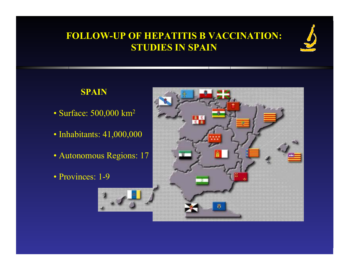#### **SPAIN**

- Surface: 500,000 km<sup>2</sup>
- Inhabitants: 41,000,000
- Autonomous Regions: 17
- Provinces: 1-9

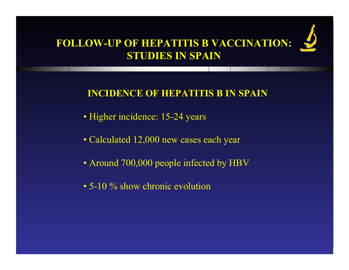

#### **INCIDENCE OF HEPATITIS B IN SPAIN**

- Higher incidence: 15-24 years
- Calculated 12,000 new cases each year
- Around 700,000 people infected by HBV
- 5-10 % show chronic evolution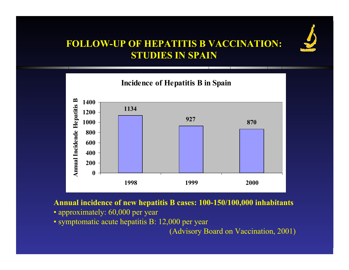



**Annual incidence of new hepatitis B cases: 100-150/100,000 inhabitants**

- approximately: 60,000 per year
- symptomatic acute hepatitis B: 12,000 per year

(Advisory Board on Vaccination, 2001)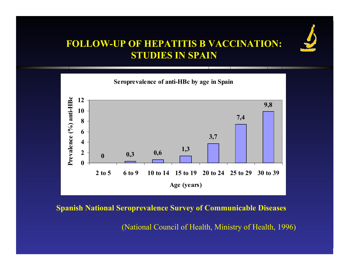



**Spanish National Seroprevalence Survey of Communicable Diseases**

(National Council of Health, Ministry of Health, 1996)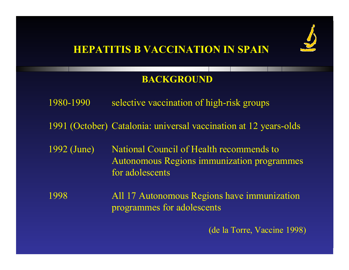

#### **BACKGROUND**

- 1980-1990selective vaccination of high-risk groups
- 1991 (October) Catalonia: universal vaccination at 12 years-olds
- 1992 (June) National Council of Health recommends to Autonomous Regions immunization programmes for adolescents

1998 All 17 Autonomous Regions have immunization programmes for adolescents

(de la Torre, Vaccine 1998)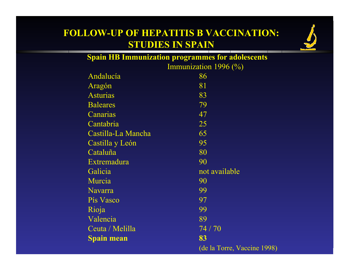

| <b>Spain HB Immunization programmes for adolescents</b> |                                   |  |  |
|---------------------------------------------------------|-----------------------------------|--|--|
|                                                         | Immunization 1996 $(\frac{6}{6})$ |  |  |
| Andalucía                                               | 86                                |  |  |
| Aragón                                                  | 81                                |  |  |
| <b>Asturias</b>                                         | 83                                |  |  |
| <b>Baleares</b>                                         | 79                                |  |  |
| Canarias                                                | 47                                |  |  |
| Cantabria                                               | 25                                |  |  |
| Castilla-La Mancha                                      | 65                                |  |  |
| Castilla y León                                         | 95                                |  |  |
| Cataluña                                                | 80                                |  |  |
| Extremadura                                             | 90                                |  |  |
| Galicia                                                 | not available                     |  |  |
| Murcia                                                  | 90                                |  |  |
| <b>Navarra</b>                                          | 99                                |  |  |
| Pís Vasco                                               | 97                                |  |  |
| Rioja                                                   | 99                                |  |  |
| Valencia                                                | 89                                |  |  |
| Ceuta / Melilla                                         | 74/70                             |  |  |
| <b>Spain mean</b>                                       | 83                                |  |  |
|                                                         | (de la Torre, Vaccine 1998)       |  |  |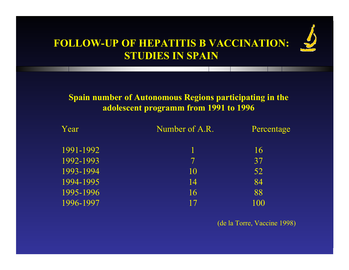

#### **Spain number of Autonomous Regions participating in the adolescent programm from 1991 to 1996**

| Year      | Number of A.R. | Percentage |
|-----------|----------------|------------|
| 1991-1992 |                | 16         |
| 1992-1993 | $\tau$         | 37         |
| 1993-1994 | 10             | 52         |
| 1994-1995 | 14             | 84         |
| 1995-1996 | 16             | 88         |
| 1996-1997 | 17             | 100        |

(de la Torre, Vaccine 1998)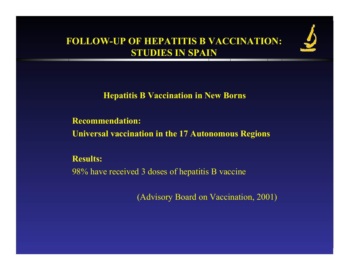

**Hepatitis B V accination in New B orns**

**Recommendation: Universal vaccination in the 17 Autonomous Regions**

**Results:** 98% have received 3 doses of hepatitis B vaccine

(Advisory Board on Vaccination, 2001)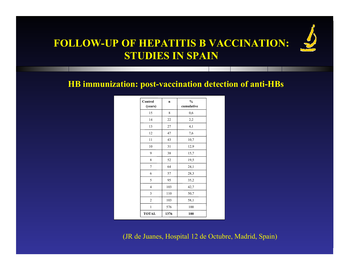

**HB immunization: post-vaccination detection of anti-HBs** 

| Control<br>(years) | $\mathbf n$ | $\frac{0}{0}$<br>cumulative |
|--------------------|-------------|-----------------------------|
| 15                 | 8           | 0,6                         |
| 14                 | 22          | 2,2                         |
| 13                 | 27          | 4,1                         |
| 12                 | 47          | 7,6                         |
| 11                 | 43          | 10,7                        |
| 10                 | 31          | 12,9                        |
| 9                  | 38          | 15,7                        |
| 8                  | 52          | 19,5                        |
| $\tau$             | 64          | 24,1                        |
| 6                  | 57          | 28,3                        |
| 5                  | 95          | 35,2                        |
| $\overline{4}$     | 103         | 42,7                        |
| 3                  | 110         | 50,7                        |
| $\overline{2}$     | 103         | 58,1                        |
| 1                  | 576         | 100                         |
| <b>TOTAL</b>       | 1376        | 100                         |

(JR de Juanes, Hospital 12 de Octubre, Madrid, Spain)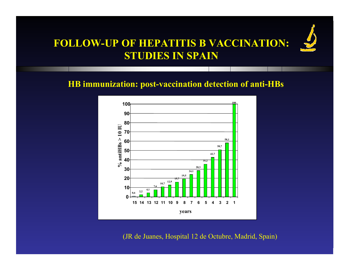

#### **HB immunization: post-vaccination detection of anti-HBs**



(JR de Juanes, Hospital 12 de Octubre, Madrid, Spain)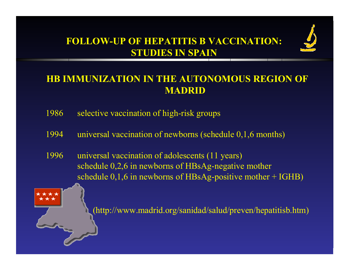

## **HB IMMUNIZATION IN THE AUTONOMOUS REGION OF MADRID**

- 1986selective vaccination of high-risk groups
- 1994universal vaccination of newborns (schedule 0,1,6 months)
- 1996 universal vaccination of adolescents (11 years) schedule 0,2,6 in newborns of HBsAg-negative mother schedule 0,1,6 in newborns of HBs Ag-positive mother + IGHB)



(http://www.madrid.org/sanidad/salud/preven/hepatitisb.htm)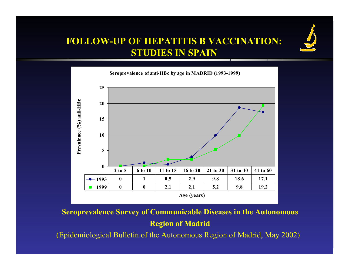



**Seroprevalence Survey of Communicable Diseases in the Autonomous Region of Madrid** 

(Epidemiological Bulletin of the Autonomous Region of Madrid, May 2002)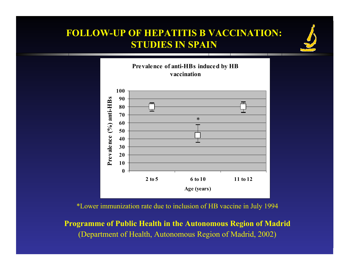



\*Lower immunization rate due to inclusion of HB vaccine in July 1994

**Programme of Public Health in the Autonomous Region of Madrid**  (Department of Health, Autonomous Region of Madrid, 2002)